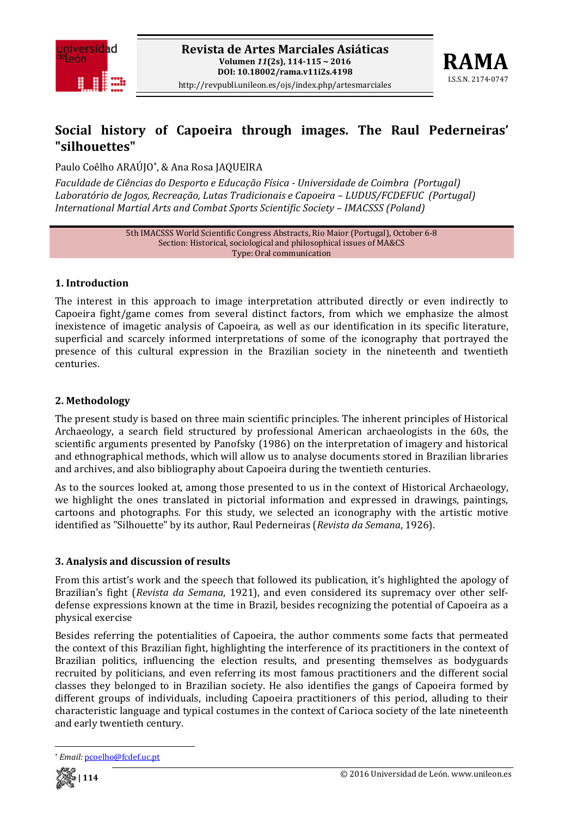



# **Social history of Capoeira through images. The Raul Pederneiras' "silhouettes"**

Paulo Coêlho ARAÚJO\*, & Ana Rosa JAQUEIRA

*Faculdade de Ciências do Desporto e Educação Física Universidade de Coimbra (Portugal) Laboratório de Jogos, Recreação, Lutas Tradicionais e Capoeira – LUDUS/FCDEFUC (Portugal) International Martial Arts and Combat Sports Scientific Society – IMACSSS (Poland)*

> 5th IMACSSS World Scientific Congress Abstracts, Rio Maior (Portugal), October 6‐8 Section: Historical, sociological and philosophical issues of MA&CS Type: Oral communication

### **1. Introduction**

The interest in this approach to image interpretation attributed directly or even indirectly to Capoeira fight/game comes from several distinct factors, from which we emphasize the almost inexistence of imagetic analysis of Capoeira, as well as our identification in its specific literature, superficial and scarcely informed interpretations of some of the iconography that portrayed the presence of this cultural expression in the Brazilian society in the nineteenth and twentieth centuries.

## **2. Methodology**

The present study is based on three main scientific principles. The inherent principles of Historical Archaeology, a search field structured by professional American archaeologists in the 60s, the scientific arguments presented by Panofsky (1986) on the interpretation of imagery and historical and ethnographical methods, which will allow us to analyse documents stored in Brazilian libraries and archives, and also bibliography about Capoeira during the twentieth centuries.

As to the sources looked at, among those presented to us in the context of Historical Archaeology, we highlight the ones translated in pictorial information and expressed in drawings, paintings, cartoons and photographs. For this study, we selected an iconography with the artistic motive identified as "Silhouette" by its author, Raul Pederneiras (*Revista da Semana*, 1926).

### **3. Analysis and discussion of results**

From this artist's work and the speech that followed its publication, it's highlighted the apology of Brazilian's fight (*Revista da Semana*, 1921), and even considered its supremacy over other self‐ defense expressions known at the time in Brazil, besides recognizing the potential of Capoeira as a physical exercise

Besides referring the potentialities of Capoeira, the author comments some facts that permeated the context of this Brazilian fight, highlighting the interference of its practitioners in the context of Brazilian politics, influencing the election results, and presenting themselves as bodyguards recruited by politicians, and even referring its most famous practitioners and the different social classes they belonged to in Brazilian society. He also identifies the gangs of Capoeira formed by different groups of individuals, including Capoeira practitioners of this period, alluding to their characteristic language and typical costumes in the context of Carioca society of the late nineteenth and early twentieth century.

Email: pcoelho@fcdef.uc.pt